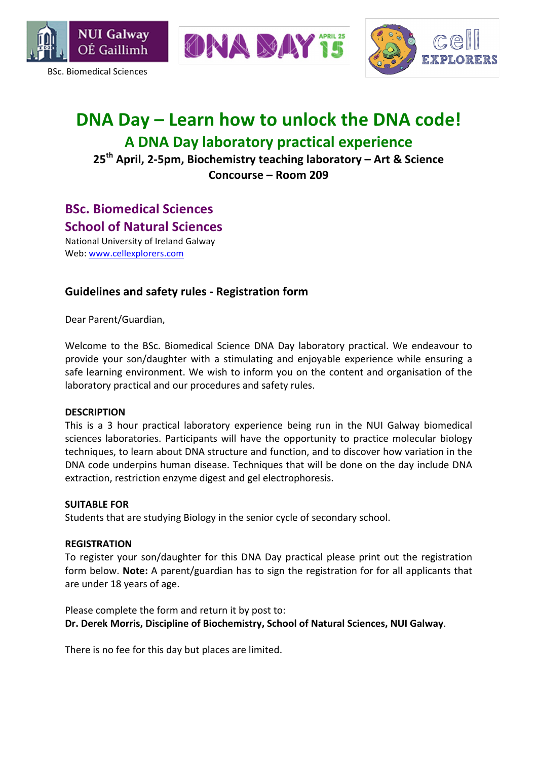

BSc. Biomedical Sciences



## **DNA Day – Learn how to unlock the DNA code! A DNA Day laboratory practical experience**

ONA MAY

25<sup>th</sup> April, 2-5pm, Biochemistry teaching laboratory – Art & Science Concourse – Room 209

### **BSc. Biomedical Sciences**

**School of Natural Sciences** 

National University of Ireland Galway Web: www.cellexplorers.com

### Guidelines and safety rules - Registration form

Dear Parent/Guardian,

Welcome to the BSc. Biomedical Science DNA Day laboratory practical. We endeavour to provide your son/daughter with a stimulating and enjoyable experience while ensuring a safe learning environment. We wish to inform you on the content and organisation of the laboratory practical and our procedures and safety rules.

#### **DESCRIPTION**

This is a 3 hour practical laboratory experience being run in the NUI Galway biomedical sciences laboratories. Participants will have the opportunity to practice molecular biology techniques, to learn about DNA structure and function, and to discover how variation in the DNA code underpins human disease. Techniques that will be done on the day include DNA extraction, restriction enzyme digest and gel electrophoresis.

#### **SUITABLE FOR**

Students that are studying Biology in the senior cycle of secondary school.

#### **REGISTRATION**

To register your son/daughter for this DNA Day practical please print out the registration form below. **Note:** A parent/guardian has to sign the registration for for all applicants that are under 18 years of age.

Please complete the form and return it by post to: Dr. Derek Morris, Discipline of Biochemistry, School of Natural Sciences, NUI Galway.

There is no fee for this day but places are limited.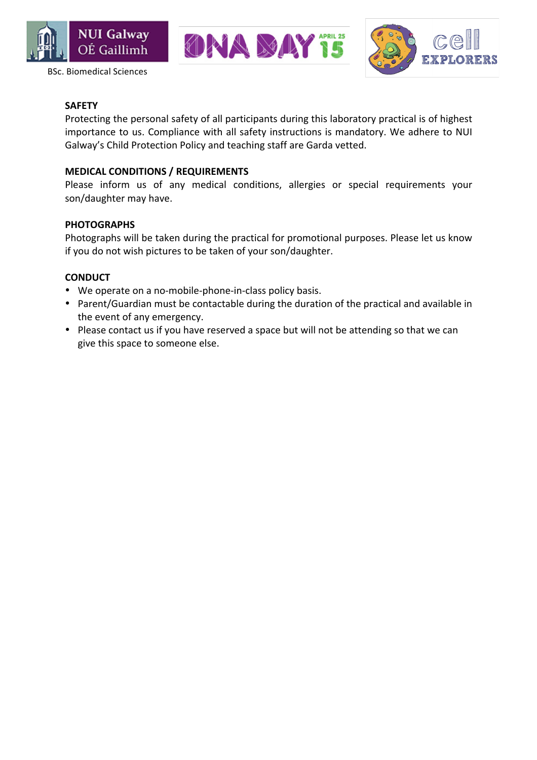







#### **SAFETY**

Protecting the personal safety of all participants during this laboratory practical is of highest importance to us. Compliance with all safety instructions is mandatory. We adhere to NUI Galway's Child Protection Policy and teaching staff are Garda vetted.

#### **MEDICAL CONDITIONS / REQUIREMENTS**

Please inform us of any medical conditions, allergies or special requirements your son/daughter may have.

#### **PHOTOGRAPHS**

Photographs will be taken during the practical for promotional purposes. Please let us know if you do not wish pictures to be taken of your son/daughter.

#### **CONDUCT**

- We operate on a no-mobile-phone-in-class policy basis.
- Parent/Guardian must be contactable during the duration of the practical and available in the event of any emergency.
- Please contact us if you have reserved a space but will not be attending so that we can give this space to someone else.